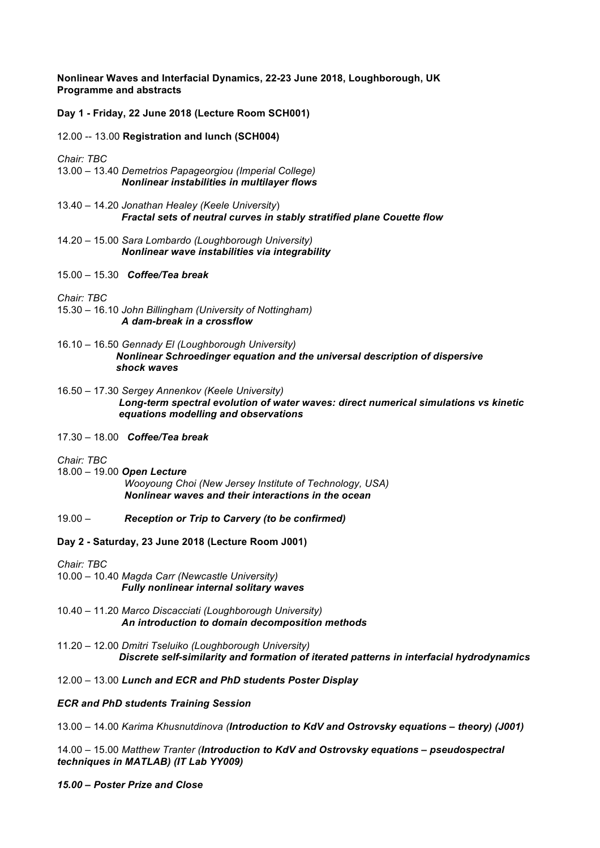**Nonlinear Waves and Interfacial Dynamics, 22-23 June 2018, Loughborough, UK Programme and abstracts**

**Day 1 - Friday, 22 June 2018 (Lecture Room SCH001)**

12.00 -- 13.00 **Registration and lunch (SCH004)**

*Chair: TBC*

- 13.00 13.40 *Demetrios Papageorgiou (Imperial College) Nonlinear instabilities in multilayer flows*
- 13.40 14.20 *Jonathan Healey (Keele University*)  *Fractal sets of neutral curves in stably stratified plane Couette flow*
- 14.20 15.00 *Sara Lombardo (Loughborough University) Nonlinear wave instabilities via integrability*
- 15.00 15.30 *Coffee/Tea break*

*Chair: TBC*

- 15.30 16.10 *John Billingham (University of Nottingham) A dam-break in a crossflow*
- 16.10 16.50 *Gennady El (Loughborough University) Nonlinear Schroedinger equation and the universal description of dispersive shock waves*
- 16.50 17.30 *Sergey Annenkov (Keele University) Long-term spectral evolution of water waves: direct numerical simulations vs kinetic equations modelling and observations*
- 17.30 18.00 *Coffee/Tea break*

*Chair: TBC*

- 18.00 19.00 *Open Lecture Wooyoung Choi (New Jersey Institute of Technology, USA) Nonlinear waves and their interactions in the ocean*
- 19.00 *Reception or Trip to Carvery (to be confirmed)*

# **Day 2 - Saturday, 23 June 2018 (Lecture Room J001)**

*Chair: TBC*

- 10.00 10.40 *Magda Carr (Newcastle University) Fully nonlinear internal solitary waves*
- 10.40 11.20 *Marco Discacciati (Loughborough University) An introduction to domain decomposition methods*
- 11.20 12.00 *Dmitri Tseluiko (Loughborough University) Discrete self-similarity and formation of iterated patterns in interfacial hydrodynamics*

12.00 – 13.00 *Lunch and ECR and PhD students Poster Display*

## *ECR and PhD students Training Session*

13.00 – 14.00 *Karima Khusnutdinova (Introduction to KdV and Ostrovsky equations – theory) (J001)*

14.00 – 15.00 *Matthew Tranter (Introduction to KdV and Ostrovsky equations – pseudospectral techniques in MATLAB) (IT Lab YY009)*

*15.00 – Poster Prize and Close*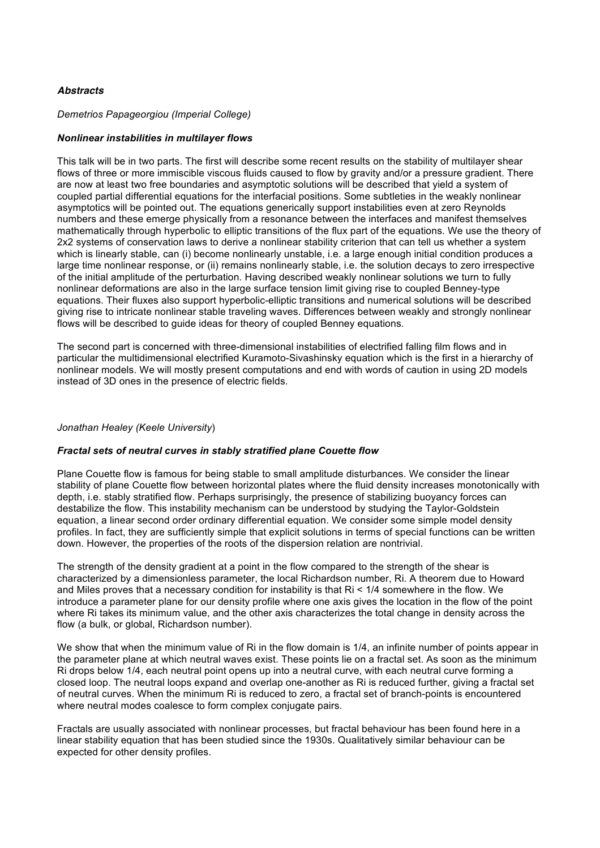# *Abstracts*

## *Demetrios Papageorgiou (Imperial College)*

#### *Nonlinear instabilities in multilayer flows*

This talk will be in two parts. The first will describe some recent results on the stability of multilayer shear flows of three or more immiscible viscous fluids caused to flow by gravity and/or a pressure gradient. There are now at least two free boundaries and asymptotic solutions will be described that yield a system of coupled partial differential equations for the interfacial positions. Some subtleties in the weakly nonlinear asymptotics will be pointed out. The equations generically support instabilities even at zero Reynolds numbers and these emerge physically from a resonance between the interfaces and manifest themselves mathematically through hyperbolic to elliptic transitions of the flux part of the equations. We use the theory of 2x2 systems of conservation laws to derive a nonlinear stability criterion that can tell us whether a system which is linearly stable, can (i) become nonlinearly unstable, i.e. a large enough initial condition produces a large time nonlinear response, or (ii) remains nonlinearly stable, i.e. the solution decays to zero irrespective of the initial amplitude of the perturbation. Having described weakly nonlinear solutions we turn to fully nonlinear deformations are also in the large surface tension limit giving rise to coupled Benney-type equations. Their fluxes also support hyperbolic-elliptic transitions and numerical solutions will be described giving rise to intricate nonlinear stable traveling waves. Differences between weakly and strongly nonlinear flows will be described to guide ideas for theory of coupled Benney equations.

The second part is concerned with three-dimensional instabilities of electrified falling film flows and in particular the multidimensional electrified Kuramoto-Sivashinsky equation which is the first in a hierarchy of nonlinear models. We will mostly present computations and end with words of caution in using 2D models instead of 3D ones in the presence of electric fields.

#### *Jonathan Healey (Keele University*)

#### *Fractal sets of neutral curves in stably stratified plane Couette flow*

Plane Couette flow is famous for being stable to small amplitude disturbances. We consider the linear stability of plane Couette flow between horizontal plates where the fluid density increases monotonically with depth, i.e. stably stratified flow. Perhaps surprisingly, the presence of stabilizing buoyancy forces can destabilize the flow. This instability mechanism can be understood by studying the Taylor-Goldstein equation, a linear second order ordinary differential equation. We consider some simple model density profiles. In fact, they are sufficiently simple that explicit solutions in terms of special functions can be written down. However, the properties of the roots of the dispersion relation are nontrivial.

The strength of the density gradient at a point in the flow compared to the strength of the shear is characterized by a dimensionless parameter, the local Richardson number, Ri. A theorem due to Howard and Miles proves that a necessary condition for instability is that Ri < 1/4 somewhere in the flow. We introduce a parameter plane for our density profile where one axis gives the location in the flow of the point where Ri takes its minimum value, and the other axis characterizes the total change in density across the flow (a bulk, or global, Richardson number).

We show that when the minimum value of Ri in the flow domain is 1/4, an infinite number of points appear in the parameter plane at which neutral waves exist. These points lie on a fractal set. As soon as the minimum Ri drops below 1/4, each neutral point opens up into a neutral curve, with each neutral curve forming a closed loop. The neutral loops expand and overlap one-another as Ri is reduced further, giving a fractal set of neutral curves. When the minimum Ri is reduced to zero, a fractal set of branch-points is encountered where neutral modes coalesce to form complex conjugate pairs.

Fractals are usually associated with nonlinear processes, but fractal behaviour has been found here in a linear stability equation that has been studied since the 1930s. Qualitatively similar behaviour can be expected for other density profiles.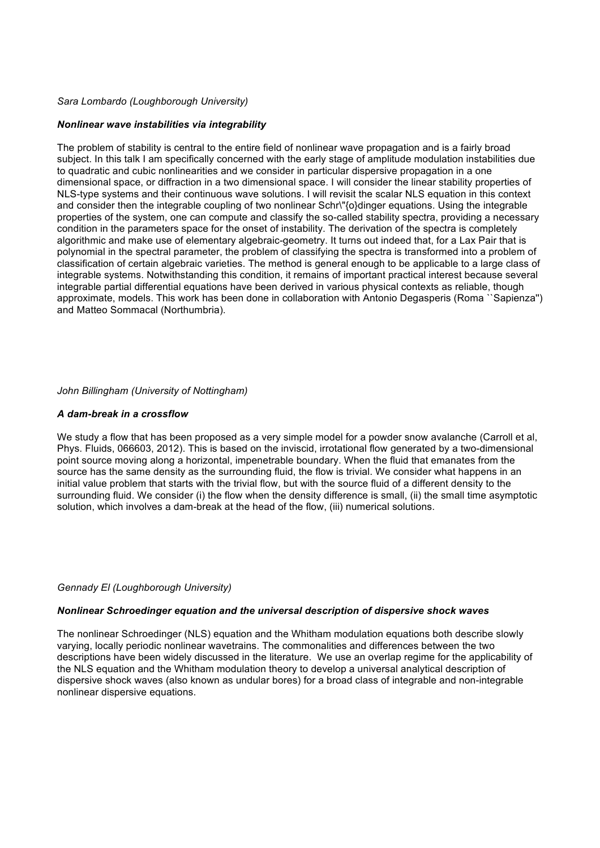## *Sara Lombardo (Loughborough University)*

# *Nonlinear wave instabilities via integrability*

The problem of stability is central to the entire field of nonlinear wave propagation and is a fairly broad subject. In this talk I am specifically concerned with the early stage of amplitude modulation instabilities due to quadratic and cubic nonlinearities and we consider in particular dispersive propagation in a one dimensional space, or diffraction in a two dimensional space. I will consider the linear stability properties of NLS-type systems and their continuous wave solutions. I will revisit the scalar NLS equation in this context and consider then the integrable coupling of two nonlinear Schr\"{o}dinger equations. Using the integrable properties of the system, one can compute and classify the so-called stability spectra, providing a necessary condition in the parameters space for the onset of instability. The derivation of the spectra is completely algorithmic and make use of elementary algebraic-geometry. It turns out indeed that, for a Lax Pair that is polynomial in the spectral parameter, the problem of classifying the spectra is transformed into a problem of classification of certain algebraic varieties. The method is general enough to be applicable to a large class of integrable systems. Notwithstanding this condition, it remains of important practical interest because several integrable partial differential equations have been derived in various physical contexts as reliable, though approximate, models. This work has been done in collaboration with Antonio Degasperis (Roma ``Sapienza'') and Matteo Sommacal (Northumbria).

# *John Billingham (University of Nottingham)*

# *A dam-break in a crossflow*

We study a flow that has been proposed as a very simple model for a powder snow avalanche (Carroll et al, Phys. Fluids, 066603, 2012). This is based on the inviscid, irrotational flow generated by a two-dimensional point source moving along a horizontal, impenetrable boundary. When the fluid that emanates from the source has the same density as the surrounding fluid, the flow is trivial. We consider what happens in an initial value problem that starts with the trivial flow, but with the source fluid of a different density to the surrounding fluid. We consider (i) the flow when the density difference is small, (ii) the small time asymptotic solution, which involves a dam-break at the head of the flow, (iii) numerical solutions.

## *Gennady El (Loughborough University)*

## *Nonlinear Schroedinger equation and the universal description of dispersive shock waves*

The nonlinear Schroedinger (NLS) equation and the Whitham modulation equations both describe slowly varying, locally periodic nonlinear wavetrains. The commonalities and differences between the two descriptions have been widely discussed in the literature. We use an overlap regime for the applicability of the NLS equation and the Whitham modulation theory to develop a universal analytical description of dispersive shock waves (also known as undular bores) for a broad class of integrable and non-integrable nonlinear dispersive equations.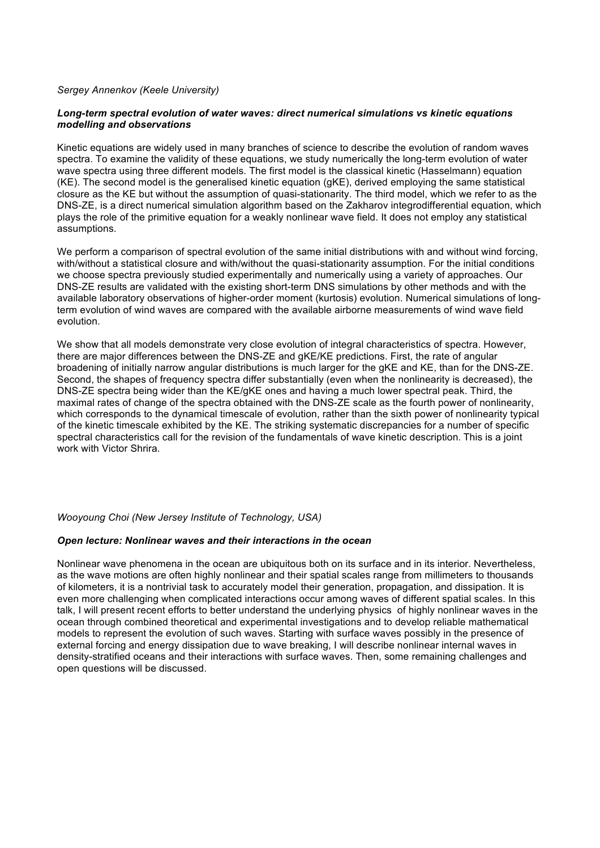## *Sergey Annenkov (Keele University)*

## *Long-term spectral evolution of water waves: direct numerical simulations vs kinetic equations modelling and observations*

Kinetic equations are widely used in many branches of science to describe the evolution of random waves spectra. To examine the validity of these equations, we study numerically the long-term evolution of water wave spectra using three different models. The first model is the classical kinetic (Hasselmann) equation (KE). The second model is the generalised kinetic equation (gKE), derived employing the same statistical closure as the KE but without the assumption of quasi-stationarity. The third model, which we refer to as the DNS-ZE, is a direct numerical simulation algorithm based on the Zakharov integrodifferential equation, which plays the role of the primitive equation for a weakly nonlinear wave field. It does not employ any statistical assumptions.

We perform a comparison of spectral evolution of the same initial distributions with and without wind forcing, with/without a statistical closure and with/without the quasi-stationarity assumption. For the initial conditions we choose spectra previously studied experimentally and numerically using a variety of approaches. Our DNS-ZE results are validated with the existing short-term DNS simulations by other methods and with the available laboratory observations of higher-order moment (kurtosis) evolution. Numerical simulations of longterm evolution of wind waves are compared with the available airborne measurements of wind wave field evolution.

We show that all models demonstrate very close evolution of integral characteristics of spectra. However, there are major differences between the DNS-ZE and gKE/KE predictions. First, the rate of angular broadening of initially narrow angular distributions is much larger for the gKE and KE, than for the DNS-ZE. Second, the shapes of frequency spectra differ substantially (even when the nonlinearity is decreased), the DNS-ZE spectra being wider than the KE/gKE ones and having a much lower spectral peak. Third, the maximal rates of change of the spectra obtained with the DNS-ZE scale as the fourth power of nonlinearity, which corresponds to the dynamical timescale of evolution, rather than the sixth power of nonlinearity typical of the kinetic timescale exhibited by the KE. The striking systematic discrepancies for a number of specific spectral characteristics call for the revision of the fundamentals of wave kinetic description. This is a joint work with Victor Shrira.

## *Wooyoung Choi (New Jersey Institute of Technology, USA)*

#### *Open lecture: Nonlinear waves and their interactions in the ocean*

Nonlinear wave phenomena in the ocean are ubiquitous both on its surface and in its interior. Nevertheless, as the wave motions are often highly nonlinear and their spatial scales range from millimeters to thousands of kilometers, it is a nontrivial task to accurately model their generation, propagation, and dissipation. It is even more challenging when complicated interactions occur among waves of different spatial scales. In this talk, I will present recent efforts to better understand the underlying physics of highly nonlinear waves in the ocean through combined theoretical and experimental investigations and to develop reliable mathematical models to represent the evolution of such waves. Starting with surface waves possibly in the presence of external forcing and energy dissipation due to wave breaking, I will describe nonlinear internal waves in density-stratified oceans and their interactions with surface waves. Then, some remaining challenges and open questions will be discussed.